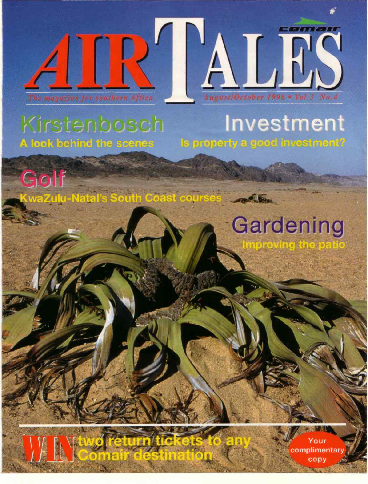



## Kirstenbosch A look behind the scenes

## Investment Is property a good investment?

Golf WaZulu-Natal's South Coast courses

return tic

IE IN TIME

# Gardening

Your complimentar